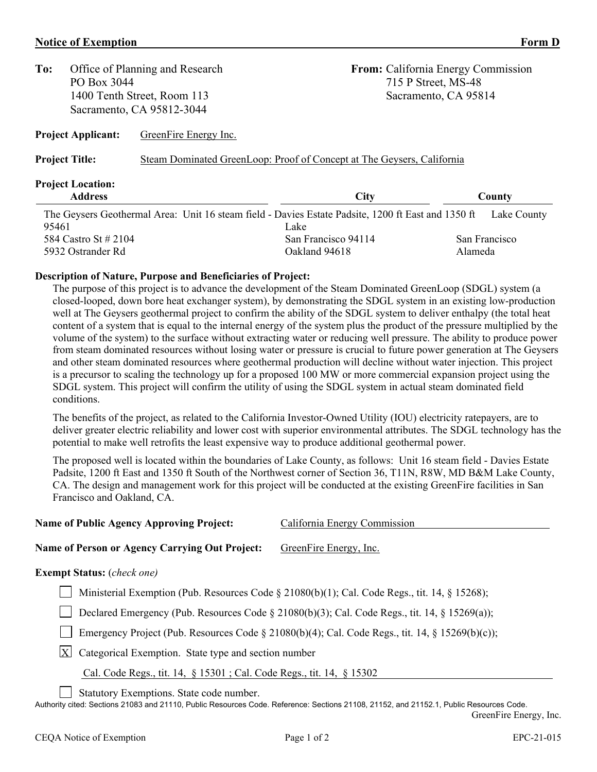#### **Notice of Exemption Form D**

**To:** Office of Planning and Research **From:** California Energy Commission PO Box 3044 715 P Street, MS-48 1400 Tenth Street, Room 113 Sacramento, CA 95814 Sacramento, CA 95812-3044

**Project Applicant:** GreenFire Energy Inc.

Project Title: Steam Dominated GreenLoop: Proof of Concept at The Geysers, California

# **Project Location:**

| <b>Address</b>                                                                                     | City                | County        |  |
|----------------------------------------------------------------------------------------------------|---------------------|---------------|--|
| The Geysers Geothermal Area: Unit 16 steam field - Davies Estate Padsite, 1200 ft East and 1350 ft |                     | Lake County   |  |
| 95461                                                                                              | Lake                |               |  |
| 584 Castro St # 2104                                                                               | San Francisco 94114 | San Francisco |  |
| 5932 Ostrander Rd                                                                                  | Oakland 94618       | Alameda       |  |

## **Description of Nature, Purpose and Beneficiaries of Project:**

The purpose of this project is to advance the development of the Steam Dominated GreenLoop (SDGL) system (a closed-looped, down bore heat exchanger system), by demonstrating the SDGL system in an existing low-production well at The Geysers geothermal project to confirm the ability of the SDGL system to deliver enthalpy (the total heat content of a system that is equal to the internal energy of the system plus the product of the pressure multiplied by the volume of the system) to the surface without extracting water or reducing well pressure. The ability to produce power from steam dominated resources without losing water or pressure is crucial to future power generation at The Geysers and other steam dominated resources where geothermal production will decline without water injection. This project is a precursor to scaling the technology up for a proposed 100 MW or more commercial expansion project using the SDGL system. This project will confirm the utility of using the SDGL system in actual steam dominated field conditions.

The benefits of the project, as related to the California Investor-Owned Utility (IOU) electricity ratepayers, are to deliver greater electric reliability and lower cost with superior environmental attributes. The SDGL technology has the potential to make well retrofits the least expensive way to produce additional geothermal power.

The proposed well is located within the boundaries of Lake County, as follows: Unit 16 steam field - Davies Estate Padsite, 1200 ft East and 1350 ft South of the Northwest corner of Section 36, T11N, R8W, MD B&M Lake County, CA. The design and management work for this project will be conducted at the existing GreenFire facilities in San Francisco and Oakland, CA.

| <b>Name of Public Agency Approving Project:</b> |
|-------------------------------------------------|
|-------------------------------------------------|

### **Name of Person or Agency Carrying Out Project:** GreenFire Energy, Inc.

### **Exempt Status:** (*check one)*

Ministerial Exemption (Pub. Resources Code § 21080(b)(1); Cal. Code Regs., tit. 14, § 15268);

Declared Emergency (Pub. Resources Code § 21080(b)(3); Cal. Code Regs., tit. 14, § 15269(a));

Emergency Project (Pub. Resources Code § 21080(b)(4); Cal. Code Regs., tit. 14, § 15269(b)(c));

 $X$  Categorical Exemption. State type and section number

Cal. Code Regs., tit. 14, § 15301 ; Cal. Code Regs., tit. 14, § 15302

Statutory Exemptions. State code number.

Authority cited: Sections 21083 and 21110, Public Resources Code. Reference: Sections 21108, 21152, and 21152.1, Public Resources Code. GreenFire Energy, Inc.